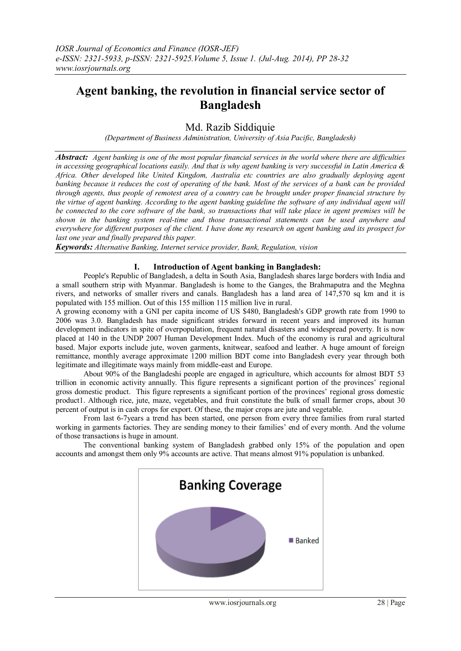# **Agent banking, the revolution in financial service sector of Bangladesh**

# Md. Razib Siddiquie

*(Department of Business Administration, University of Asia Pacific, Bangladesh)*

*Abstract: Agent banking is one of the most popular financial services in the world where there are difficulties in accessing geographical locations easily. And that is why agent banking is very successful in Latin America & Africa. Other developed like United Kingdom, Australia etc countries are also gradually deploying agent banking because it reduces the cost of operating of the bank. Most of the services of a bank can be provided through agents, thus people of remotest area of a country can be brought under proper financial structure by the virtue of agent banking. According to the agent banking guideline the software of any individual agent will be connected to the core software of the bank, so transactions that will take place in agent premises will be shown in the banking system real-time and those transactional statements can be used anywhere and everywhere for different purposes of the client. I have done my research on agent banking and its prospect for last one year and finally prepared this paper.*

*Keywords: Alternative Banking, Internet service provider, Bank, Regulation, vision*

# **I. Introduction of Agent banking in Bangladesh:**

People's Republic of Bangladesh, a delta in South Asia, Bangladesh shares large borders with India and a small southern strip with Myanmar. Bangladesh is home to the Ganges, the Brahmaputra and the Meghna rivers, and networks of smaller rivers and canals. Bangladesh has a land area of 147,570 sq km and it is populated with 155 million. Out of this 155 million 115 million live in rural.

A growing economy with a GNI per capita income of US \$480, Bangladesh's GDP growth rate from 1990 to 2006 was 3.0. Bangladesh has made significant strides forward in recent years and improved its human development indicators in spite of overpopulation, frequent natural disasters and widespread poverty. It is now placed at 140 in the UNDP 2007 Human Development Index. Much of the economy is rural and agricultural based. Major exports include jute, woven garments, knitwear, seafood and leather. A huge amount of foreign remittance, monthly average approximate 1200 million BDT come into Bangladesh every year through both legitimate and illegitimate ways mainly from middle-east and Europe.

About 90% of the Bangladeshi people are engaged in agriculture, which accounts for almost BDT 53 trillion in economic activity annually. This figure represents a significant portion of the provinces" regional gross domestic product. This figure represents a significant portion of the provinces" regional gross domestic product1. Although rice, jute, maze, vegetables, and fruit constitute the bulk of small farmer crops, about 30 percent of output is in cash crops for export. Of these, the major crops are jute and vegetable.

From last 6-7years a trend has been started, one person from every three families from rural started working in garments factories. They are sending money to their families' end of every month. And the volume of those transactions is huge in amount.

The conventional banking system of Bangladesh grabbed only 15% of the population and open accounts and amongst them only 9% accounts are active. That means almost 91% population is unbanked.

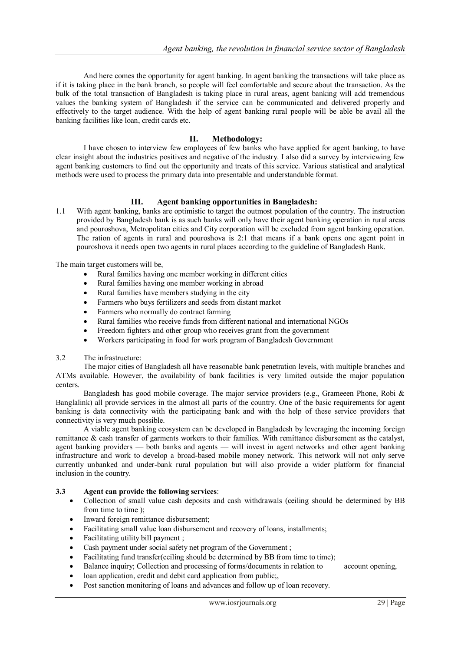And here comes the opportunity for agent banking. In agent banking the transactions will take place as if it is taking place in the bank branch, so people will feel comfortable and secure about the transaction. As the bulk of the total transaction of Bangladesh is taking place in rural areas, agent banking will add tremendous values the banking system of Bangladesh if the service can be communicated and delivered properly and effectively to the target audience. With the help of agent banking rural people will be able be avail all the banking facilities like loan, credit cards etc.

# **II. Methodology:**

I have chosen to interview few employees of few banks who have applied for agent banking, to have clear insight about the industries positives and negative of the industry. I also did a survey by interviewing few agent banking customers to find out the opportunity and treats of this service. Various statistical and analytical methods were used to process the primary data into presentable and understandable format.

# **III. Agent banking opportunities in Bangladesh:**

1.1 With agent banking, banks are optimistic to target the outmost population of the country. The instruction provided by Bangladesh bank is as such banks will only have their agent banking operation in rural areas and pouroshova, Metropolitan cities and City corporation will be excluded from agent banking operation. The ration of agents in rural and pouroshova is 2:1 that means if a bank opens one agent point in pouroshova it needs open two agents in rural places according to the guideline of Bangladesh Bank.

The main target customers will be,

- Rural families having one member working in different cities
- Rural families having one member working in abroad
- Rural families have members studying in the city
- Farmers who buys fertilizers and seeds from distant market
- Farmers who normally do contract farming
- Rural families who receive funds from different national and international NGOs
- Freedom fighters and other group who receives grant from the government
- Workers participating in food for work program of Bangladesh Government

# 3.2 The infrastructure:

The major cities of Bangladesh all have reasonable bank penetration levels, with multiple branches and ATMs available. However, the availability of bank facilities is very limited outside the major population centers.

Bangladesh has good mobile coverage. The major service providers (e.g., Grameeen Phone, Robi & Banglalink) all provide services in the almost all parts of the country. One of the basic requirements for agent banking is data connectivity with the participating bank and with the help of these service providers that connectivity is very much possible.

A viable agent banking ecosystem can be developed in Bangladesh by leveraging the incoming foreign remittance & cash transfer of garments workers to their families. With remittance disbursement as the catalyst, agent banking providers — both banks and agents — will invest in agent networks and other agent banking infrastructure and work to develop a broad-based mobile money network. This network will not only serve currently unbanked and under-bank rural population but will also provide a wider platform for financial inclusion in the country.

# **3.3 Agent can provide the following services**:

- Collection of small value cash deposits and cash withdrawals (ceiling should be determined by BB from time to time );
- Inward foreign remittance disbursement;
- Facilitating small value loan disbursement and recovery of loans, installments;
- Facilitating utility bill payment :
- Cash payment under social safety net program of the Government ;
- Facilitating fund transfer (ceiling should be determined by BB from time to time);

Balance inquiry; Collection and processing of forms/documents in relation to account opening,

- loan application, credit and debit card application from public;,
- Post sanction monitoring of loans and advances and follow up of loan recovery.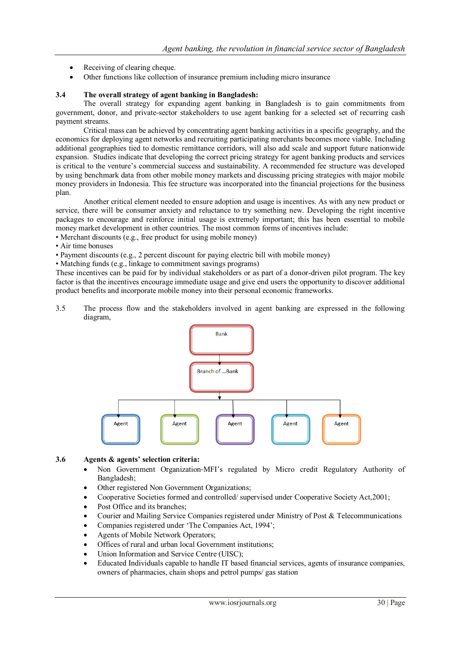- Receiving of clearing cheque.
- Other functions like collection of insurance premium including micro insurance

# **3.4 The overall strategy of agent banking in Bangladesh:**

The overall strategy for expanding agent banking in Bangladesh is to gain commitments from government, donor, and private-sector stakeholders to use agent banking for a selected set of recurring cash payment streams.

Critical mass can be achieved by concentrating agent banking activities in a specific geography, and the economics for deploying agent networks and recruiting participating merchants becomes more viable. Including additional geographies tied to domestic remittance corridors, will also add scale and support future nationwide expansion. Studies indicate that developing the correct pricing strategy for agent banking products and services is critical to the venture"s commercial success and sustainability. A recommended fee structure was developed by using benchmark data from other mobile money markets and discussing pricing strategies with major mobile money providers in Indonesia. This fee structure was incorporated into the financial projections for the business plan.

Another critical element needed to ensure adoption and usage is incentives. As with any new product or service, there will be consumer anxiety and reluctance to try something new. Developing the right incentive packages to encourage and reinforce initial usage is extremely important; this has been essential to mobile money market development in other countries. The most common forms of incentives include:

- Merchant discounts (e.g., free product for using mobile money)
- Air time bonuses
- Payment discounts (e.g., 2 percent discount for paying electric bill with mobile money)
- Matching funds (e.g., linkage to commitment savings programs)

These incentives can be paid for by individual stakeholders or as part of a donor-driven pilot program. The key factor is that the incentives encourage immediate usage and give end users the opportunity to discover additional product benefits and incorporate mobile money into their personal economic frameworks.

3.5 The process flow and the stakeholders involved in agent banking are expressed in the following diagram,



#### **3.6 Agents & agents' selection criteria:**

- Non Government Organization‐MFI"s regulated by Micro credit Regulatory Authority of Bangladesh;
- Other registered Non Government Organizations;
- Cooperative Societies formed and controlled/ supervised under Cooperative Society Act,2001;
- Post Office and its branches;
- Courier and Mailing Service Companies registered under Ministry of Post & Telecommunications
- Companies registered under "The Companies Act, 1994";
- Agents of Mobile Network Operators;
- Offices of rural and urban local Government institutions;
- Union Information and Service Centre (UISC);
- Educated Individuals capable to handle IT based financial services, agents of insurance companies, owners of pharmacies, chain shops and petrol pumps/ gas station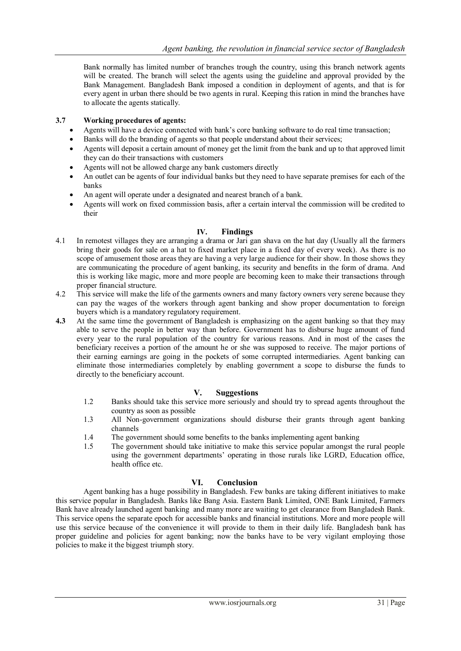Bank normally has limited number of branches trough the country, using this branch network agents will be created. The branch will select the agents using the guideline and approval provided by the Bank Management. Bangladesh Bank imposed a condition in deployment of agents, and that is for every agent in urban there should be two agents in rural. Keeping this ration in mind the branches have to allocate the agents statically.

#### **3.7 Working procedures of agents:**

- Agents will have a device connected with bank"s core banking software to do real time transaction;
- Banks will do the branding of agents so that people understand about their services;
- Agents will deposit a certain amount of money get the limit from the bank and up to that approved limit they can do their transactions with customers
- Agents will not be allowed charge any bank customers directly
- An outlet can be agents of four individual banks but they need to have separate premises for each of the banks
- An agent will operate under a designated and nearest branch of a bank.
- Agents will work on fixed commission basis, after a certain interval the commission will be credited to their

#### **IV. Findings**

- 4.1 In remotest villages they are arranging a drama or Jari gan shava on the hat day (Usually all the farmers bring their goods for sale on a hat to fixed market place in a fixed day of every week). As there is no scope of amusement those areas they are having a very large audience for their show. In those shows they are communicating the procedure of agent banking, its security and benefits in the form of drama. And this is working like magic, more and more people are becoming keen to make their transactions through proper financial structure.
- 4.2 This service will make the life of the garments owners and many factory owners very serene because they can pay the wages of the workers through agent banking and show proper documentation to foreign buyers which is a mandatory regulatory requirement.
- **4.3** At the same time the government of Bangladesh is emphasizing on the agent banking so that they may able to serve the people in better way than before. Government has to disburse huge amount of fund every year to the rural population of the country for various reasons. And in most of the cases the beneficiary receives a portion of the amount he or she was supposed to receive. The major portions of their earning earnings are going in the pockets of some corrupted intermediaries. Agent banking can eliminate those intermediaries completely by enabling government a scope to disburse the funds to directly to the beneficiary account.

#### **V. Suggestions**

- 1.2 Banks should take this service more seriously and should try to spread agents throughout the country as soon as possible
- 1.3 All Non-government organizations should disburse their grants through agent banking channels
- 1.4 The government should some benefits to the banks implementing agent banking
- 1.5 The government should take initiative to make this service popular amongst the rural people using the government departments" operating in those rurals like LGRD, Education office, health office etc.

# **VI. Conclusion**

Agent banking has a huge possibility in Bangladesh. Few banks are taking different initiatives to make this service popular in Bangladesh. Banks like Bang Asia. Eastern Bank Limited, ONE Bank Limited, Farmers Bank have already launched agent banking and many more are waiting to get clearance from Bangladesh Bank. This service opens the separate epoch for accessible banks and financial institutions. More and more people will use this service because of the convenience it will provide to them in their daily life. Bangladesh bank has proper guideline and policies for agent banking; now the banks have to be very vigilant employing those policies to make it the biggest triumph story.